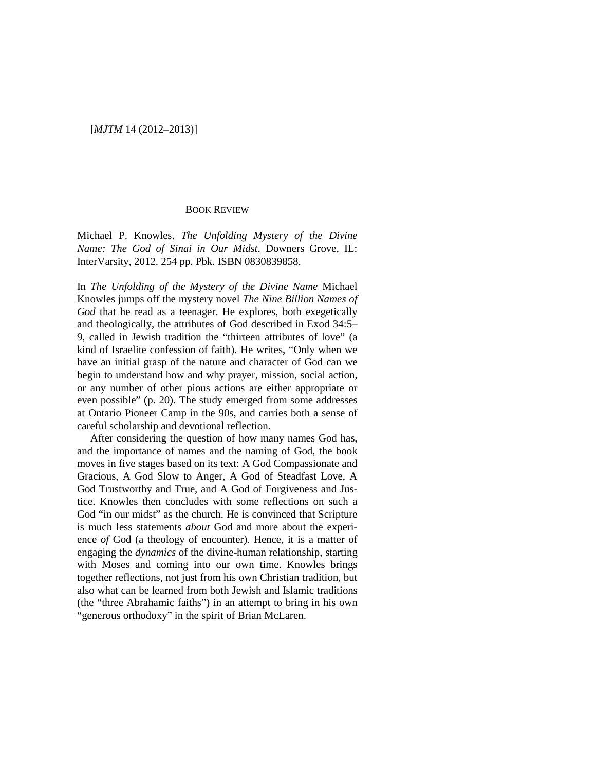#### [*MJTM* 14 (2012–2013)]

#### BOOK REVIEW

Michael P. Knowles. *The Unfolding Mystery of the Divine Name: The God of Sinai in Our Midst*. Downers Grove, IL: InterVarsity, 2012. 254 pp. Pbk. ISBN 0830839858.

In *The Unfolding of the Mystery of the Divine Name* Michael Knowles jumps off the mystery novel *The Nine Billion Names of God* that he read as a teenager. He explores, both exegetically and theologically, the attributes of God described in Exod 34:5– 9, called in Jewish tradition the "thirteen attributes of love" (a kind of Israelite confession of faith). He writes, "Only when we have an initial grasp of the nature and character of God can we begin to understand how and why prayer, mission, social action, or any number of other pious actions are either appropriate or even possible" (p. 20). The study emerged from some addresses at Ontario Pioneer Camp in the 90s, and carries both a sense of careful scholarship and devotional reflection.

After considering the question of how many names God has, and the importance of names and the naming of God, the book moves in five stages based on its text: A God Compassionate and Gracious, A God Slow to Anger, A God of Steadfast Love, A God Trustworthy and True, and A God of Forgiveness and Justice. Knowles then concludes with some reflections on such a God "in our midst" as the church. He is convinced that Scripture is much less statements *about* God and more about the experience *of* God (a theology of encounter). Hence, it is a matter of engaging the *dynamics* of the divine-human relationship, starting with Moses and coming into our own time. Knowles brings together reflections, not just from his own Christian tradition, but also what can be learned from both Jewish and Islamic traditions (the "three Abrahamic faiths") in an attempt to bring in his own "generous orthodoxy" in the spirit of Brian McLaren.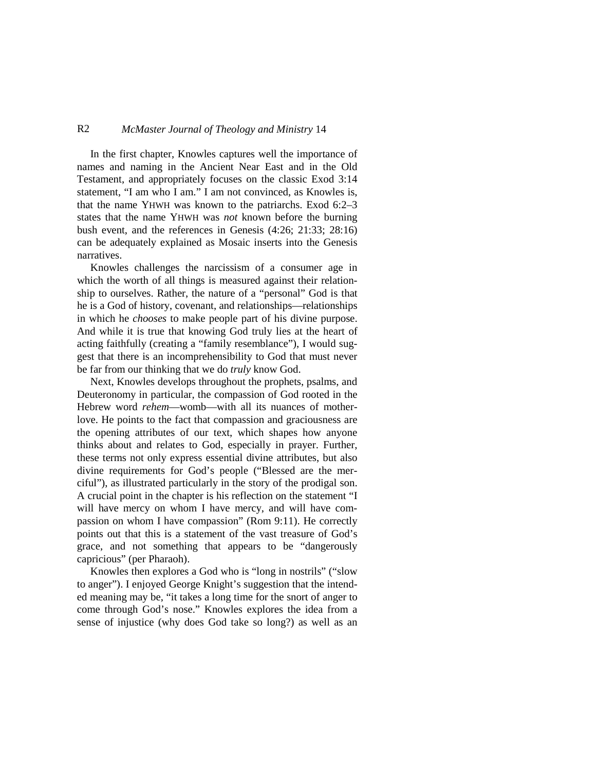## R2 *McMaster Journal of Theology and Ministry* 14

In the first chapter, Knowles captures well the importance of names and naming in the Ancient Near East and in the Old Testament, and appropriately focuses on the classic Exod 3:14 statement, "I am who I am." I am not convinced, as Knowles is, that the name YHWH was known to the patriarchs. Exod 6:2–3 states that the name YHWH was *not* known before the burning bush event, and the references in Genesis (4:26; 21:33; 28:16) can be adequately explained as Mosaic inserts into the Genesis narratives.

Knowles challenges the narcissism of a consumer age in which the worth of all things is measured against their relationship to ourselves. Rather, the nature of a "personal" God is that he is a God of history, covenant, and relationships—relationships in which he *chooses* to make people part of his divine purpose. And while it is true that knowing God truly lies at the heart of acting faithfully (creating a "family resemblance"), I would suggest that there is an incomprehensibility to God that must never be far from our thinking that we do *truly* know God.

Next, Knowles develops throughout the prophets, psalms, and Deuteronomy in particular, the compassion of God rooted in the Hebrew word *rehem*—womb—with all its nuances of motherlove. He points to the fact that compassion and graciousness are the opening attributes of our text, which shapes how anyone thinks about and relates to God, especially in prayer. Further, these terms not only express essential divine attributes, but also divine requirements for God's people ("Blessed are the merciful"), as illustrated particularly in the story of the prodigal son. A crucial point in the chapter is his reflection on the statement "I will have mercy on whom I have mercy, and will have compassion on whom I have compassion" (Rom 9:11). He correctly points out that this is a statement of the vast treasure of God's grace, and not something that appears to be "dangerously capricious" (per Pharaoh).

Knowles then explores a God who is "long in nostrils" ("slow to anger"). I enjoyed George Knight's suggestion that the intended meaning may be, "it takes a long time for the snort of anger to come through God's nose." Knowles explores the idea from a sense of injustice (why does God take so long?) as well as an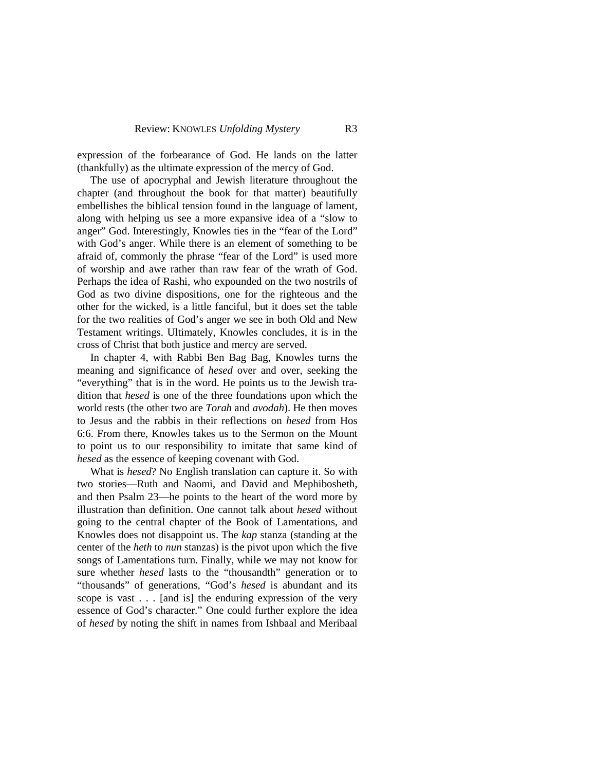expression of the forbearance of God. He lands on the latter (thankfully) as the ultimate expression of the mercy of God.

The use of apocryphal and Jewish literature throughout the chapter (and throughout the book for that matter) beautifully embellishes the biblical tension found in the language of lament, along with helping us see a more expansive idea of a "slow to anger" God. Interestingly, Knowles ties in the "fear of the Lord" with God's anger. While there is an element of something to be afraid of, commonly the phrase "fear of the Lord" is used more of worship and awe rather than raw fear of the wrath of God. Perhaps the idea of Rashi, who expounded on the two nostrils of God as two divine dispositions, one for the righteous and the other for the wicked, is a little fanciful, but it does set the table for the two realities of God's anger we see in both Old and New Testament writings. Ultimately, Knowles concludes, it is in the cross of Christ that both justice and mercy are served.

In chapter 4, with Rabbi Ben Bag Bag, Knowles turns the meaning and significance of *hesed* over and over, seeking the "everything" that is in the word. He points us to the Jewish tradition that *hesed* is one of the three foundations upon which the world rests (the other two are *Torah* and *avodah*). He then moves to Jesus and the rabbis in their reflections on *hesed* from Hos 6:6. From there, Knowles takes us to the Sermon on the Mount to point us to our responsibility to imitate that same kind of *hesed* as the essence of keeping covenant with God.

What is *hesed*? No English translation can capture it. So with two stories—Ruth and Naomi, and David and Mephibosheth, and then Psalm 23—he points to the heart of the word more by illustration than definition. One cannot talk about *hesed* without going to the central chapter of the Book of Lamentations, and Knowles does not disappoint us. The *kap* stanza (standing at the center of the *heth* to *nun* stanzas) is the pivot upon which the five songs of Lamentations turn. Finally, while we may not know for sure whether *hesed* lasts to the "thousandth" generation or to "thousands" of generations, "God's *hesed* is abundant and its scope is vast . . . [and is] the enduring expression of the very essence of God's character." One could further explore the idea of *hesed* by noting the shift in names from Ishbaal and Meribaal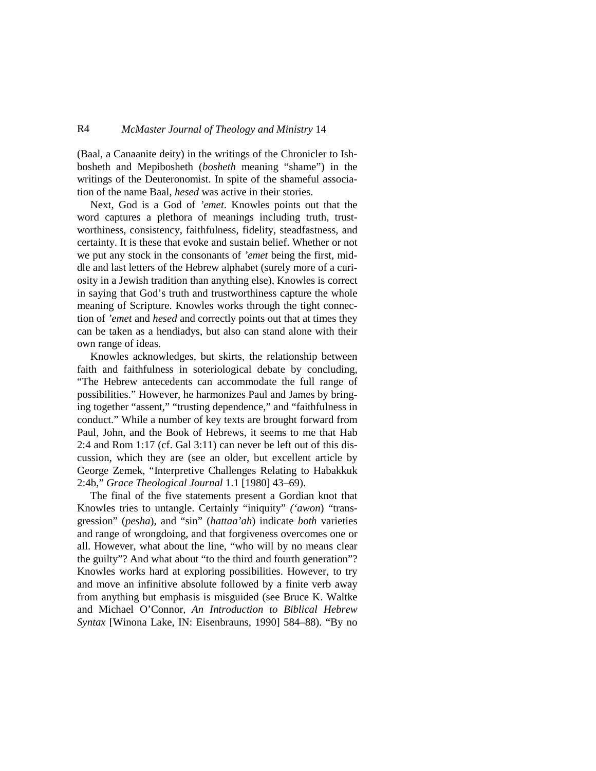## R4 *McMaster Journal of Theology and Ministry* 14

(Baal, a Canaanite deity) in the writings of the Chronicler to Ishbosheth and Mepibosheth (*bosheth* meaning "shame") in the writings of the Deuteronomist. In spite of the shameful association of the name Baal, *hesed* was active in their stories.

Next, God is a God of *'emet*. Knowles points out that the word captures a plethora of meanings including truth, trustworthiness, consistency, faithfulness, fidelity, steadfastness, and certainty. It is these that evoke and sustain belief. Whether or not we put any stock in the consonants of *'emet* being the first, middle and last letters of the Hebrew alphabet (surely more of a curiosity in a Jewish tradition than anything else), Knowles is correct in saying that God's truth and trustworthiness capture the whole meaning of Scripture. Knowles works through the tight connection of *'emet* and *hesed* and correctly points out that at times they can be taken as a hendiadys, but also can stand alone with their own range of ideas.

Knowles acknowledges, but skirts, the relationship between faith and faithfulness in soteriological debate by concluding, "The Hebrew antecedents can accommodate the full range of possibilities." However, he harmonizes Paul and James by bringing together "assent," "trusting dependence," and "faithfulness in conduct." While a number of key texts are brought forward from Paul, John, and the Book of Hebrews, it seems to me that Hab 2:4 and Rom 1:17 (cf. Gal 3:11) can never be left out of this discussion, which they are (see an older, but excellent article by George Zemek, "Interpretive Challenges Relating to Habakkuk 2:4b," *Grace Theological Journal* 1.1 [1980] 43–69).

The final of the five statements present a Gordian knot that Knowles tries to untangle. Certainly "iniquity" *('awon*) "transgression" (*pesha*), and "sin" (*hattaa'ah*) indicate *both* varieties and range of wrongdoing, and that forgiveness overcomes one or all. However, what about the line, "who will by no means clear the guilty"? And what about "to the third and fourth generation"? Knowles works hard at exploring possibilities. However, to try and move an infinitive absolute followed by a finite verb away from anything but emphasis is misguided (see Bruce K. Waltke and Michael O'Connor, *An Introduction to Biblical Hebrew Syntax* [Winona Lake, IN: Eisenbrauns, 1990] 584–88). "By no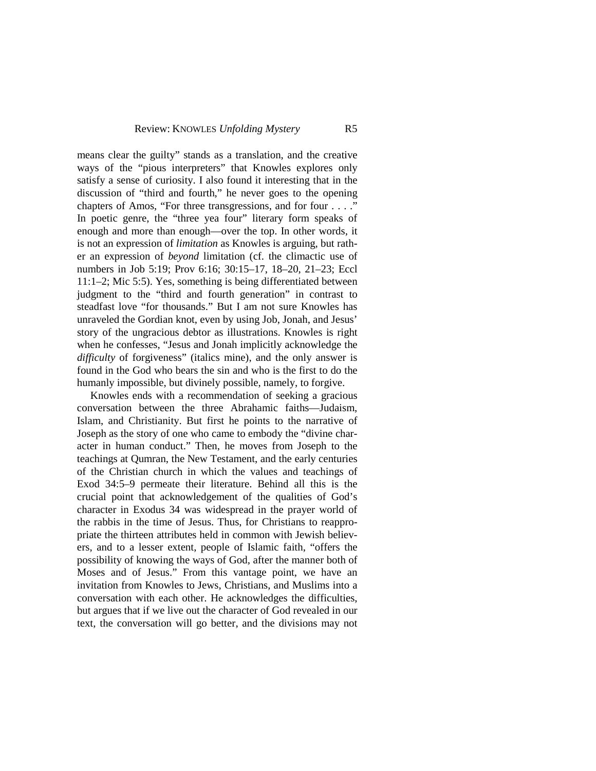means clear the guilty" stands as a translation, and the creative ways of the "pious interpreters" that Knowles explores only satisfy a sense of curiosity. I also found it interesting that in the discussion of "third and fourth," he never goes to the opening chapters of Amos, "For three transgressions, and for four . . . ." In poetic genre, the "three yea four" literary form speaks of enough and more than enough—over the top. In other words, it is not an expression of *limitation* as Knowles is arguing, but rather an expression of *beyond* limitation (cf. the climactic use of numbers in Job 5:19; Prov 6:16; 30:15–17, 18–20, 21–23; Eccl 11:1–2; Mic 5:5). Yes, something is being differentiated between judgment to the "third and fourth generation" in contrast to steadfast love "for thousands." But I am not sure Knowles has unraveled the Gordian knot, even by using Job, Jonah, and Jesus' story of the ungracious debtor as illustrations. Knowles is right when he confesses, "Jesus and Jonah implicitly acknowledge the *difficulty* of forgiveness" (italics mine), and the only answer is found in the God who bears the sin and who is the first to do the humanly impossible, but divinely possible, namely, to forgive.

Knowles ends with a recommendation of seeking a gracious conversation between the three Abrahamic faiths—Judaism, Islam, and Christianity. But first he points to the narrative of Joseph as the story of one who came to embody the "divine character in human conduct." Then, he moves from Joseph to the teachings at Qumran, the New Testament, and the early centuries of the Christian church in which the values and teachings of Exod 34:5–9 permeate their literature. Behind all this is the crucial point that acknowledgement of the qualities of God's character in Exodus 34 was widespread in the prayer world of the rabbis in the time of Jesus. Thus, for Christians to reappropriate the thirteen attributes held in common with Jewish believers, and to a lesser extent, people of Islamic faith, "offers the possibility of knowing the ways of God, after the manner both of Moses and of Jesus." From this vantage point, we have an invitation from Knowles to Jews, Christians, and Muslims into a conversation with each other. He acknowledges the difficulties, but argues that if we live out the character of God revealed in our text, the conversation will go better, and the divisions may not